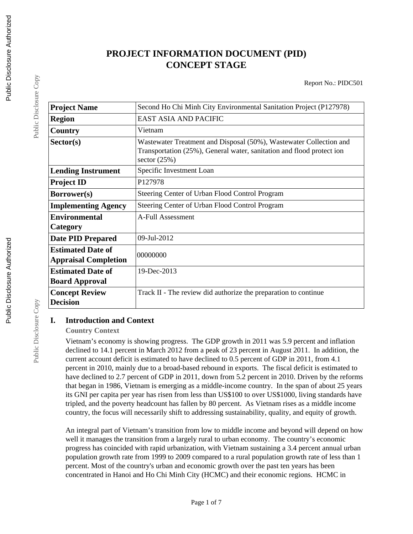# **PROJECT INFORMATION DOCUMENT (PID) CONCEPT STAGE**

Report No.: PIDC501

| <b>Project Name</b>                                     | Second Ho Chi Minh City Environmental Sanitation Project (P127978)                                                                                            |
|---------------------------------------------------------|---------------------------------------------------------------------------------------------------------------------------------------------------------------|
| <b>Region</b>                                           | <b>EAST ASIA AND PACIFIC</b>                                                                                                                                  |
| Country                                                 | Vietnam                                                                                                                                                       |
| Sector(s)                                               | Wastewater Treatment and Disposal (50%), Wastewater Collection and<br>Transportation (25%), General water, sanitation and flood protect ion<br>sector $(25%)$ |
| <b>Lending Instrument</b>                               | Specific Investment Loan                                                                                                                                      |
| <b>Project ID</b>                                       | P127978                                                                                                                                                       |
| <b>Borrower(s)</b>                                      | Steering Center of Urban Flood Control Program                                                                                                                |
| <b>Implementing Agency</b>                              | Steering Center of Urban Flood Control Program                                                                                                                |
| <b>Environmental</b><br>Category                        | A-Full Assessment                                                                                                                                             |
| <b>Date PID Prepared</b>                                | 09-Jul-2012                                                                                                                                                   |
| <b>Estimated Date of</b><br><b>Appraisal Completion</b> | 00000000                                                                                                                                                      |
| <b>Estimated Date of</b>                                | 19-Dec-2013                                                                                                                                                   |
| <b>Board Approval</b>                                   |                                                                                                                                                               |
| <b>Concept Review</b><br><b>Decision</b>                | Track II - The review did authorize the preparation to continue                                                                                               |

# **I. Introduction and Context**

#### **Country Context**

Vietnam's economy is showing progress. The GDP growth in 2011 was 5.9 percent and inflation declined to 14.1 percent in March 2012 from a peak of 23 percent in August 2011. In addition, the current account deficit is estimated to have declined to 0.5 percent of GDP in 2011, from 4.1 percent in 2010, mainly due to a broad-based rebound in exports. The fiscal deficit is estimated to have declined to 2.7 percent of GDP in 2011, down from 5.2 percent in 2010. Driven by the reforms that began in 1986, Vietnam is emerging as a middle-income country. In the span of about 25 years its GNI per capita per year has risen from less than US\$100 to over US\$1000, living standards have tripled, and the poverty headcount has fallen by 80 percent. As Vietnam rises as a middle income country, the focus will necessarily shift to addressing sustainability, quality, and equity of growth.

An integral part of Vietnam's transition from low to middle income and beyond will depend on how well it manages the transition from a largely rural to urban economy. The country's economic progress has coincided with rapid urbanization, with Vietnam sustaining a 3.4 percent annual urban population growth rate from 1999 to 2009 compared to a rural population growth rate of less than 1 percent. Most of the country's urban and economic growth over the past ten years has been concentrated in Hanoi and Ho Chi Minh City (HCMC) and their economic regions. HCMC in

Public Disclosure Copy

Public Disclosure Copy

Public Disclosure Copy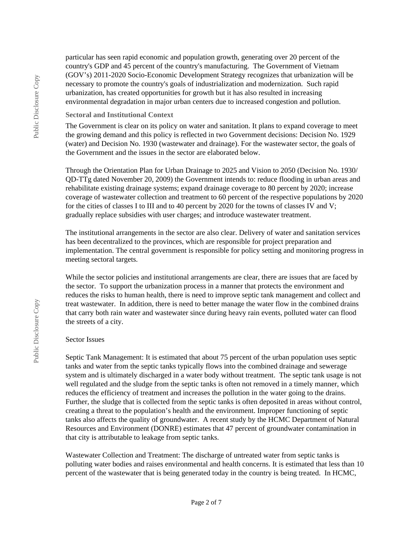particular has seen rapid economic and population growth, generating over 20 percent of the country's GDP and 45 percent of the country's manufacturing. The Government of Vietnam (GOV's) 2011-2020 Socio-Economic Development Strategy recognizes that urbanization will be necessary to promote the country's goals of industrialization and modernization. Such rapid urbanization, has created opportunities for growth but it has also resulted in increasing environmental degradation in major urban centers due to increased congestion and pollution.

#### **Sectoral and Institutional Context**

The Government is clear on its policy on water and sanitation. It plans to expand coverage to meet the growing demand and this policy is reflected in two Government decisions: Decision No. 1929 (water) and Decision No. 1930 (wastewater and drainage). For the wastewater sector, the goals of the Government and the issues in the sector are elaborated below.

Through the Orientation Plan for Urban Drainage to 2025 and Vision to 2050 (Decision No. 1930/ QD-TTg dated November 20, 2009) the Government intends to: reduce flooding in urban areas and rehabilitate existing drainage systems; expand drainage coverage to 80 percent by 2020; increase coverage of wastewater collection and treatment to 60 percent of the respective populations by 2020 for the cities of classes I to III and to 40 percent by 2020 for the towns of classes IV and V; gradually replace subsidies with user charges; and introduce wastewater treatment.

The institutional arrangements in the sector are also clear. Delivery of water and sanitation services has been decentralized to the provinces, which are responsible for project preparation and implementation. The central government is responsible for policy setting and monitoring progress in meeting sectoral targets.

While the sector policies and institutional arrangements are clear, there are issues that are faced by the sector. To support the urbanization process in a manner that protects the environment and reduces the risks to human health, there is need to improve septic tank management and collect and treat wastewater. In addition, there is need to better manage the water flow in the combined drains that carry both rain water and wastewater since during heavy rain events, polluted water can flood the streets of a city.

#### Sector Issues

Septic Tank Management: It is estimated that about 75 percent of the urban population uses septic tanks and water from the septic tanks typically flows into the combined drainage and sewerage system and is ultimately discharged in a water body without treatment. The septic tank usage is not well regulated and the sludge from the septic tanks is often not removed in a timely manner, which reduces the efficiency of treatment and increases the pollution in the water going to the drains. Further, the sludge that is collected from the septic tanks is often deposited in areas without control, creating a threat to the population's health and the environment. Improper functioning of septic tanks also affects the quality of groundwater. A recent study by the HCMC Department of Natural Resources and Environment (DONRE) estimates that 47 percent of groundwater contamination in that city is attributable to leakage from septic tanks.

Wastewater Collection and Treatment: The discharge of untreated water from septic tanks is polluting water bodies and raises environmental and health concerns. It is estimated that less than 10 percent of the wastewater that is being generated today in the country is being treated. In HCMC,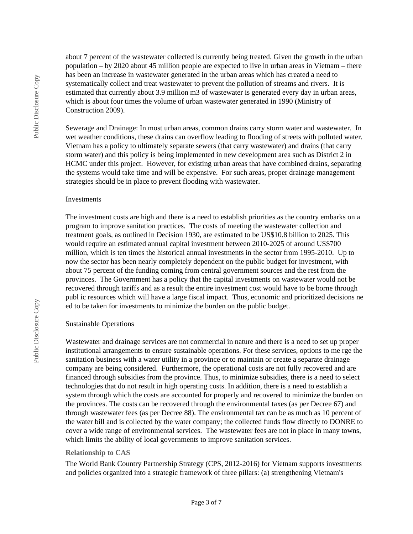about 7 percent of the wastewater collected is currently being treated. Given the growth in the urban population – by 2020 about 45 million people are expected to live in urban areas in Vietnam – there has been an increase in wastewater generated in the urban areas which has created a need to systematically collect and treat wastewater to prevent the pollution of streams and rivers. It is estimated that currently about 3.9 million m3 of wastewater is generated every day in urban areas, which is about four times the volume of urban wastewater generated in 1990 (Ministry of Construction 2009).

Sewerage and Drainage: In most urban areas, common drains carry storm water and wastewater. In wet weather conditions, these drains can overflow leading to flooding of streets with polluted water. Vietnam has a policy to ultimately separate sewers (that carry wastewater) and drains (that carry storm water) and this policy is being implemented in new development area such as District 2 in HCMC under this project. However, for existing urban areas that have combined drains, separating the systems would take time and will be expensive. For such areas, proper drainage management strategies should be in place to prevent flooding with wastewater.

#### Investments

The investment costs are high and there is a need to establish priorities as the country embarks on a program to improve sanitation practices. The costs of meeting the wastewater collection and treatment goals, as outlined in Decision 1930, are estimated to be US\$10.8 billion to 2025. This would require an estimated annual capital investment between 2010-2025 of around US\$700 million, which is ten times the historical annual investments in the sector from 1995-2010. Up to now the sector has been nearly completely dependent on the public budget for investment, with about 75 percent of the funding coming from central government sources and the rest from the provinces. The Government has a policy that the capital investments on wastewater would not be recovered through tariffs and as a result the entire investment cost would have to be borne through publ ic resources which will have a large fiscal impact. Thus, economic and prioritized decisions ne ed to be taken for investments to minimize the burden on the public budget.

#### Sustainable Operations

Wastewater and drainage services are not commercial in nature and there is a need to set up proper institutional arrangements to ensure sustainable operations. For these services, options to me rge the sanitation business with a water utility in a province or to maintain or create a separate drainage company are being considered. Furthermore, the operational costs are not fully recovered and are financed through subsidies from the province. Thus, to minimize subsidies, there is a need to select technologies that do not result in high operating costs. In addition, there is a need to establish a system through which the costs are accounted for properly and recovered to minimize the burden on the provinces. The costs can be recovered through the environmental taxes (as per Decree 67) and through wastewater fees (as per Decree 88). The environmental tax can be as much as 10 percent of the water bill and is collected by the water company; the collected funds flow directly to DONRE to cover a wide range of environmental services. The wastewater fees are not in place in many towns, which limits the ability of local governments to improve sanitation services.

#### **Relationship to CAS**

The World Bank Country Partnership Strategy (CPS, 2012-2016) for Vietnam supports investments and policies organized into a strategic framework of three pillars: (a) strengthening Vietnam's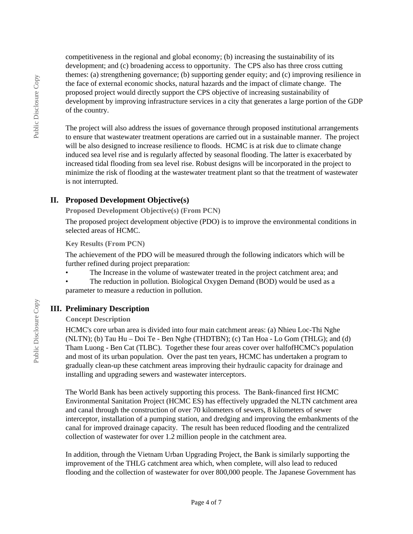competitiveness in the regional and global economy; (b) increasing the sustainability of its development; and (c) broadening access to opportunity. The CPS also has three cross cutting themes: (a) strengthening governance; (b) supporting gender equity; and (c) improving resilience in the face of external economic shocks, natural hazards and the impact of climate change. The proposed project would directly support the CPS objective of increasing sustainability of development by improving infrastructure services in a city that generates a large portion of the GDP of the country.

The project will also address the issues of governance through proposed institutional arrangements to ensure that wastewater treatment operations are carried out in a sustainable manner. The project will be also designed to increase resilience to floods. HCMC is at risk due to climate change induced sea level rise and is regularly affected by seasonal flooding. The latter is exacerbated by increased tidal flooding from sea level rise. Robust designs will be incorporated in the project to minimize the risk of flooding at the wastewater treatment plant so that the treatment of wastewater is not interrupted.

# **II. Proposed Development Objective(s)**

**Proposed Development Objective(s) (From PCN)**

The proposed project development objective (PDO) is to improve the environmental conditions in selected areas of HCMC.

#### **Key Results (From PCN)**

The achievement of the PDO will be measured through the following indicators which will be further refined during project preparation:

- The Increase in the volume of wastewater treated in the project catchment area; and
- The reduction in pollution. Biological Oxygen Demand (BOD) would be used as a parameter to measure a reduction in pollution.

# **III. Preliminary Description**

# **Concept Description**

HCMC's core urban area is divided into four main catchment areas: (a) Nhieu Loc-Thi Nghe (NLTN); (b) Tau Hu – Doi Te - Ben Nghe (THDTBN); (c) Tan Hoa - Lo Gom (THLG); and (d) Tham Luong - Ben Cat (TLBC). Together these four areas cover over halfofHCMC's population and most of its urban population. Over the past ten years, HCMC has undertaken a program to gradually clean-up these catchment areas improving their hydraulic capacity for drainage and installing and upgrading sewers and wastewater interceptors.

The World Bank has been actively supporting this process. The Bank-financed first HCMC Environmental Sanitation Project (HCMC ES) has effectively upgraded the NLTN catchment area and canal through the construction of over 70 kilometers of sewers, 8 kilometers of sewer interceptor, installation of a pumping station, and dredging and improving the embankments of the canal for improved drainage capacity. The result has been reduced flooding and the centralized collection of wastewater for over 1.2 million people in the catchment area.

In addition, through the Vietnam Urban Upgrading Project, the Bank is similarly supporting the improvement of the THLG catchment area which, when complete, will also lead to reduced flooding and the collection of wastewater for over 800,000 people. The Japanese Government has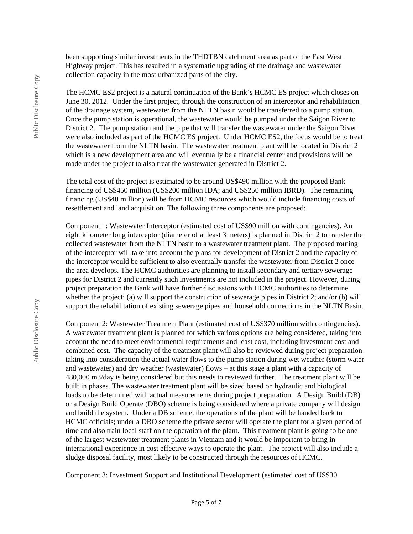been supporting similar investments in the THDTBN catchment area as part of the East West Highway project. This has resulted in a systematic upgrading of the drainage and wastewater collection capacity in the most urbanized parts of the city.

The HCMC ES2 project is a natural continuation of the Bank's HCMC ES project which closes on June 30, 2012. Under the first project, through the construction of an interceptor and rehabilitation of the drainage system, wastewater from the NLTN basin would be transferred to a pump station. Once the pump station is operational, the wastewater would be pumped under the Saigon River to District 2. The pump station and the pipe that will transfer the wastewater under the Saigon River were also included as part of the HCMC ES project. Under HCMC ES2, the focus would be to treat the wastewater from the NLTN basin. The wastewater treatment plant will be located in District 2 which is a new development area and will eventually be a financial center and provisions will be made under the project to also treat the wastewater generated in District 2.

The total cost of the project is estimated to be around US\$490 million with the proposed Bank financing of US\$450 million (US\$200 million IDA; and US\$250 million IBRD). The remaining financing (US\$40 million) will be from HCMC resources which would include financing costs of resettlement and land acquisition. The following three components are proposed:

Component 1: Wastewater Interceptor (estimated cost of US\$90 million with contingencies). An eight kilometer long interceptor (diameter of at least 3 meters) is planned in District 2 to transfer the collected wastewater from the NLTN basin to a wastewater treatment plant. The proposed routing of the interceptor will take into account the plans for development of District 2 and the capacity of the interceptor would be sufficient to also eventually transfer the wastewater from District 2 once the area develops. The HCMC authorities are planning to install secondary and tertiary sewerage pipes for District 2 and currently such investments are not included in the project. However, during project preparation the Bank will have further discussions with HCMC authorities to determine whether the project: (a) will support the construction of sewerage pipes in District 2; and/or (b) will support the rehabilitation of existing sewerage pipes and household connections in the NLTN Basin.

Component 2: Wastewater Treatment Plant (estimated cost of US\$370 million with contingencies). A wastewater treatment plant is planned for which various options are being considered, taking into account the need to meet environmental requirements and least cost, including investment cost and combined cost. The capacity of the treatment plant will also be reviewed during project preparation taking into consideration the actual water flows to the pump station during wet weather (storm water and wastewater) and dry weather (wastewater) flows – at this stage a plant with a capacity of 480,000 m3/day is being considered but this needs to reviewed further. The treatment plant will be built in phases. The wastewater treatment plant will be sized based on hydraulic and biological loads to be determined with actual measurements during project preparation. A Design Build (DB) or a Design Build Operate (DBO) scheme is being considered where a private company will design and build the system. Under a DB scheme, the operations of the plant will be handed back to HCMC officials; under a DBO scheme the private sector will operate the plant for a given period of time and also train local staff on the operation of the plant. This treatment plant is going to be one of the largest wastewater treatment plants in Vietnam and it would be important to bring in international experience in cost effective ways to operate the plant. The project will also include a sludge disposal facility, most likely to be constructed through the resources of HCMC.

Component 3: Investment Support and Institutional Development (estimated cost of US\$30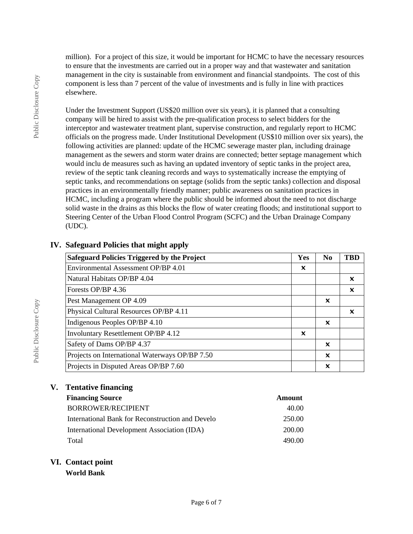million). For a project of this size, it would be important for HCMC to have the necessary resources to ensure that the investments are carried out in a proper way and that wastewater and sanitation management in the city is sustainable from environment and financial standpoints. The cost of this component is less than 7 percent of the value of investments and is fully in line with practices elsewhere.

Under the Investment Support (US\$20 million over six years), it is planned that a consulting company will be hired to assist with the pre-qualification process to select bidders for the interceptor and wastewater treatment plant, supervise construction, and regularly report to HCMC officials on the progress made. Under Institutional Development (US\$10 million over six years), the following activities are planned: update of the HCMC sewerage master plan, including drainage management as the sewers and storm water drains are connected; better septage management which would inclu de measures such as having an updated inventory of septic tanks in the project area, review of the septic tank cleaning records and ways to systematically increase the emptying of septic tanks, and recommendations on septage (solids from the septic tanks) collection and disposal practices in an environmentally friendly manner; public awareness on sanitation practices in HCMC, including a program where the public should be informed about the need to not discharge solid waste in the drains as this blocks the flow of water creating floods; and institutional support to Steering Center of the Urban Flood Control Program (SCFC) and the Urban Drainage Company (UDC).

| <b>Safeguard Policies Triggered by the Project</b> | Yes | N <sub>0</sub>            | <b>TBD</b> |
|----------------------------------------------------|-----|---------------------------|------------|
| Environmental Assessment OP/BP 4.01                | x   |                           |            |
| Natural Habitats OP/BP 4.04                        |     |                           | X          |
| Forests OP/BP 4.36                                 |     |                           | X          |
| Pest Management OP 4.09                            |     | x                         |            |
| Physical Cultural Resources OP/BP 4.11             |     |                           | x          |
| Indigenous Peoples OP/BP 4.10                      |     | x                         |            |
| <b>Involuntary Resettlement OP/BP 4.12</b>         | X   |                           |            |
| Safety of Dams OP/BP 4.37                          |     | x                         |            |
| Projects on International Waterways OP/BP 7.50     |     | $\boldsymbol{\mathsf{x}}$ |            |
| Projects in Disputed Areas OP/BP 7.60              |     | X                         |            |

# **IV. Safeguard Policies that might apply**

# **V. Tentative financing**

| <b>Financing Source</b>                          | <b>Amount</b> |
|--------------------------------------------------|---------------|
| <b>BORROWER/RECIPIENT</b>                        | 40.00         |
| International Bank for Reconstruction and Develo | 250.00        |
| International Development Association (IDA)      | 200.00        |
| Total                                            | 490.00        |

# **VI. Contact point**

**World Bank**